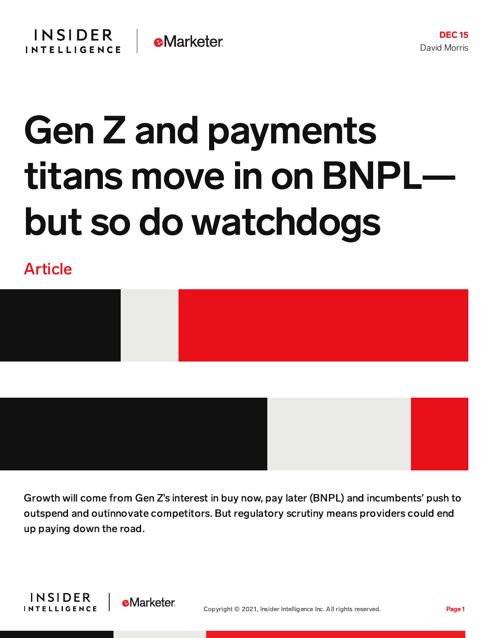

## Gen Z and payments titans move in on BNPL but so do watchdogs

## Article



Growth will come from Gen Z's interest in buy now, pay later (BNPL) and incumbents' push to outspend and outinnovate competitors. But regulatory scrutiny means providers could end up paying down the road.

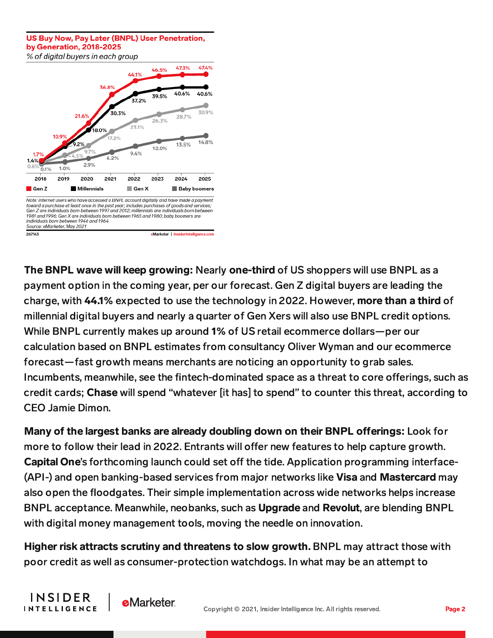## US Buv Now, Pav Later (BNPL) User Penetration. by Generation, 2018-2025 % of digital buvers in each group



INSIDER

**INTELLIGENCE** 

**e**Marketer

Th[e](https://forecasts-na1.emarketer.com/60c2c83d05a6460578e47d5c/60c3a904b7de1e0d10bc3a2c) BNPL wave will keep growing: Nearly one-third of US shoppers will use BNPL as a payment option in the coming year, per our forecast. Gen Z digital buyers are leading the charge, with 44.1% expected to use the technology in 2022. However, more than a third of millennial digital buyers and nearly a quarter of Gen Xers will also use BNPL credit options. While BNPL currently makes up around 1% of US retail ecommerce dollars—per our calculation based on BNPL estimates from consultancy Oliver Wyman and our ecommerce forecast—fast growth means merchants are noticing an opportunity to grab sales. Incumbents, meanwhile, see the fintech-dominated space as a threat to core offerings, such as credit cards; Chase will spend "whatever [it has] to spend" to counter this threat, according to CEO Jamie Dimon.

Many of the largest banks are already doubling down on their BNPL offerings: Look for more to follow their lead in 2022. Entrants will offer new features to help capture growth. Capital One's forthcoming launch could set off the tide. Application programming interface-(API-) and open banking-based services from major networks like Visa and Mastercard may also open the floodgates. Their simple implementation across wide networks helps increase BNPL acceptance. Meanwhile, neobanks, such as Upgrade and Revolut, are blending BNPL with digital money management tools, moving the needle on innovation.

Higher risk attracts scrutiny and threatens to slow growth. BNPL may attract those with poor credit as well as consumer-protection watchdogs. In what may be an attempt to